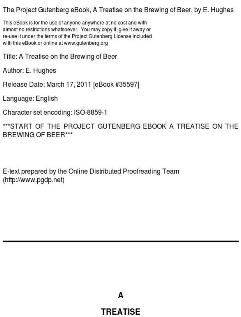#### The Project Gutenberg eBook, A Treatise on the Brewing of Beer, by E. Hughes

This eBook is for the use of anyone anywhere at no cost and with almost no restrictions whatsoever. You may copy it, give it away or re-use it under the terms of the Project Gutenberg License included with this eBook or online at www.qutenberg.org

Title: A Treatise on the Brewing of Beer

Author: E. Hughes

Release Date: March 17, 2011 [eBook #35597]

Language: English

Character set encoding: ISO-8859-1

\*\*\*START OF THE PROJECT GUTENBERG EBOOK A TREATISE ON THE BREWING OF BEER\*\*\*

E-text prepared by the Online Distributed Proofreading Team (http://www.pgdp.net)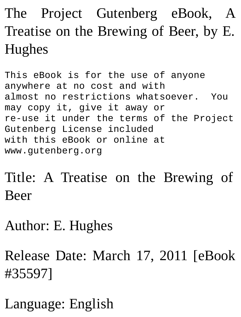### The Project Gutenberg eBook, A Treatise on the Brewing of Beer, by E. Hughes

This eBook is for the use of anyone anywhere at no cost and with almost no restrictions whatsoever. You may copy it, give it away or re-use it under the terms of the Project Gutenberg License included with this eBook or online at www.gutenberg.org

Title: A Treatise on the Brewing of Beer

Author: E. Hughes

Release Date: March 17, 2011 [eBook #35597]

Language: English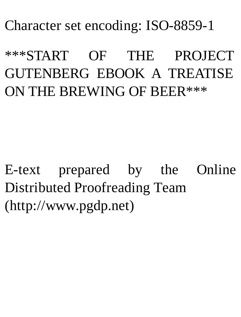Character set encoding: ISO-8859-1

\*\*\*START OF THE PROJECT GUTENBERG EBOOK A TREATISE ON THE BREWING OF BEER\*\*\*

E-text prepared by the Online Distributed Proofreading Team (http://www.pgdp.net)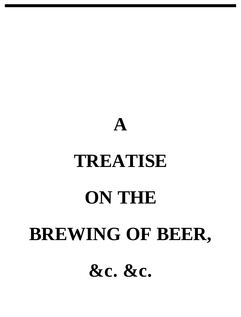# **TREATISE ON THE BREWING OF BEER, &c. &c.**

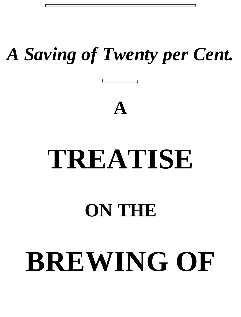## *A Saving of Twenty per Cent.*



## **TREATISE**

### **ON THE**

## **BREWING OF**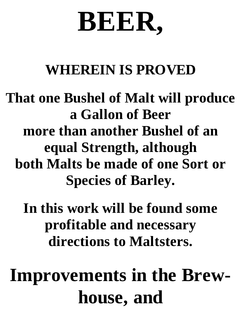## **BEER,**

#### **WHEREIN IS PROVED**

#### **That one Bushel of Malt will produce a Gallon of Beer more than another Bushel of an equal Strength, although both Malts be made of one Sort or Species of Barley.**

**In this work will be found some profitable and necessary directions to Maltsters.**

## **Improvements in the Brewhouse, and**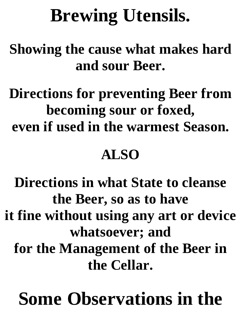## **Brewing Utensils.**

**Showing the cause what makes hard and sour Beer.**

**Directions for preventing Beer from becoming sour or foxed, even if used in the warmest Season.**

#### **ALSO**

**Directions in what State to cleanse the Beer, so as to have it fine without using any art or device whatsoever; and for the Management of the Beer in the Cellar.**

## **Some Observations in the**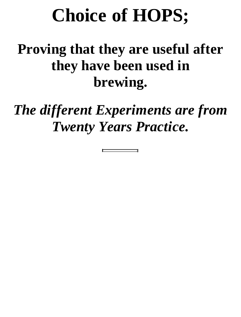## **Choice of HOPS;**

#### **Proving that they are useful after they have been used in brewing.**

*The different Experiments are from Twenty Years Practice.*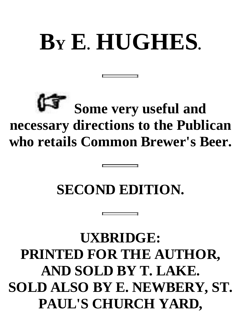## **B<sup>Y</sup> E. HUGHES.**

### **Some very useful and necessary directions to the Publican who retails Common Brewer's Beer.**

#### **SECOND EDITION.**

#### **UXBRIDGE: PRINTED FOR THE AUTHOR, AND SOLD BY T. LAKE. SOLD ALSO BY E. NEWBERY, ST. PAUL'S CHURCH YARD,**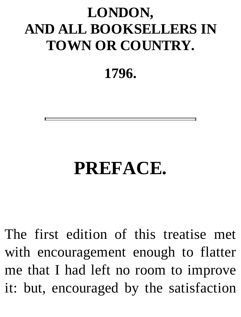#### **LONDON, AND ALL BOOKSELLERS IN TOWN OR COUNTRY.**

**1796.**

### **PREFACE.**

The first edition of this treatise met with encouragement enough to flatter me that I had left no room to improve it: but, encouraged by the satisfaction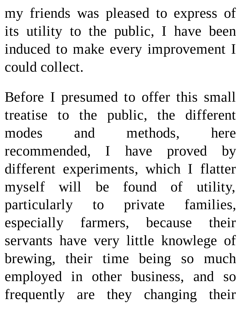my friends was pleased to express of its utility to the public, I have been induced to make every improvement I could collect.

Before I presumed to offer this small treatise to the public, the different modes and methods, here recommended, I have proved by different experiments, which I flatter myself will be found of utility, particularly to private families, especially farmers, because their servants have very little knowlege of brewing, their time being so much employed in other business, and so frequently are they changing their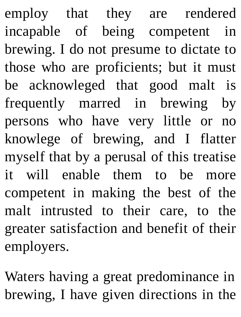employ that they are rendered incapable of being competent in brewing. I do not presume to dictate to those who are proficients; but it must be acknowleged that good malt is frequently marred in brewing by persons who have very little or no knowlege of brewing, and I flatter myself that by a perusal of this treatise it will enable them to be more competent in making the best of the malt intrusted to their care, to the greater satisfaction and benefit of their employers.

Waters having a great predominance in brewing, I have given directions in the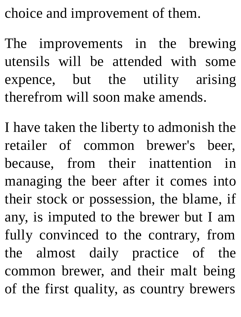choice and improvement of them.

The improvements in the brewing utensils will be attended with some expence, but the utility arising therefrom will soon make amends.

I have taken the liberty to admonish the retailer of common brewer's beer, because, from their inattention in managing the beer after it comes into their stock or possession, the blame, if any, is imputed to the brewer but I am fully convinced to the contrary, from the almost daily practice of the common brewer, and their malt being of the first quality, as country brewers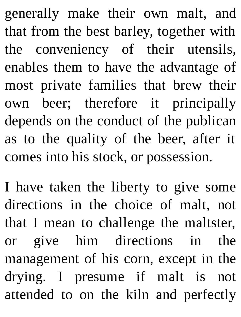generally make their own malt, and that from the best barley, together with the conveniency of their utensils, enables them to have the advantage of most private families that brew their own beer; therefore it principally depends on the conduct of the publican as to the quality of the beer, after it comes into his stock, or possession.

I have taken the liberty to give some directions in the choice of malt, not that I mean to challenge the maltster, or give him directions in the management of his corn, except in the drying. I presume if malt is not attended to on the kiln and perfectly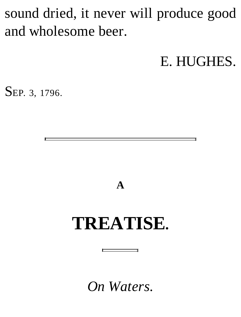#### sound dried, it never will produce good and wholesome beer.

E. HUGHES.

SEP. 3, 1796.

**A**

### **TREATISE.**

*On Waters.*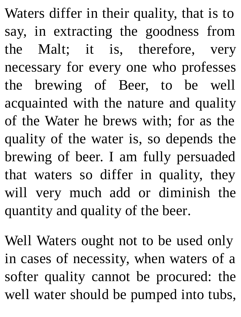Waters differ in their quality, that is to say, in extracting the goodness from the Malt; it is, therefore, very necessary for every one who professes the brewing of Beer, to be well acquainted with the nature and quality of the Water he brews with; for as the quality of the water is, so depends the brewing of beer. I am fully persuaded that waters so differ in quality, they will very much add or diminish the quantity and quality of the beer.

Well Waters ought not to be used only in cases of necessity, when waters of a softer quality cannot be procured: the well water should be pumped into tubs,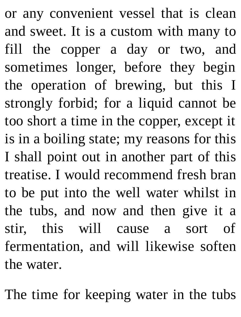or any convenient vessel that is clean and sweet. It is a custom with many to fill the copper a day or two, and sometimes longer, before they begin the operation of brewing, but this I strongly forbid; for a liquid cannot be too short a time in the copper, except it is in a boiling state; my reasons for this I shall point out in another part of this treatise. I would recommend fresh bran to be put into the well water whilst in the tubs, and now and then give it a stir, this will cause a sort of fermentation, and will likewise soften the water.

The time for keeping water in the tubs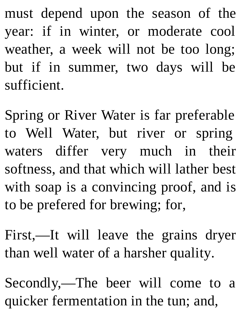must depend upon the season of the year: if in winter, or moderate cool weather, a week will not be too long; but if in summer, two days will be sufficient.

Spring or River Water is far preferable to Well Water, but river or spring waters differ very much in their softness, and that which will lather best with soap is a convincing proof, and is to be prefered for brewing; for,

First,—It will leave the grains dryer than well water of a harsher quality.

Secondly,—The beer will come to a quicker fermentation in the tun; and,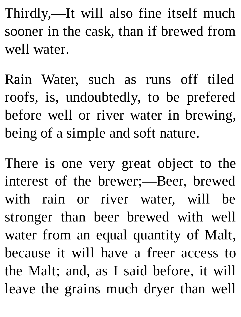Thirdly,—It will also fine itself much sooner in the cask, than if brewed from well water.

Rain Water, such as runs off tiled roofs, is, undoubtedly, to be prefered before well or river water in brewing, being of a simple and soft nature.

There is one very great object to the interest of the brewer;—Beer, brewed with rain or river water, will be stronger than beer brewed with well water from an equal quantity of Malt, because it will have a freer access to the Malt; and, as I said before, it will leave the grains much dryer than well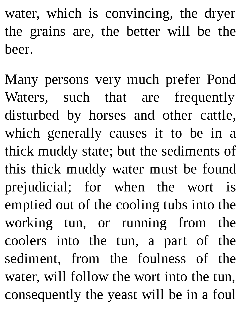water, which is convincing, the dryer the grains are, the better will be the beer.

Many persons very much prefer Pond Waters, such that are frequently disturbed by horses and other cattle, which generally causes it to be in a thick muddy state; but the sediments of this thick muddy water must be found prejudicial; for when the wort is emptied out of the cooling tubs into the working tun, or running from the coolers into the tun, a part of the sediment, from the foulness of the water, will follow the wort into the tun, consequently the yeast will be in a foul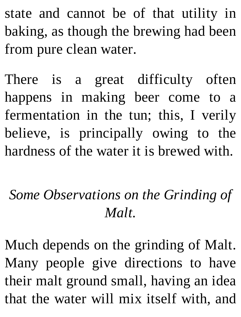state and cannot be of that utility in baking, as though the brewing had been from pure clean water.

There is a great difficulty often happens in making beer come to a fermentation in the tun; this, I verily believe, is principally owing to the hardness of the water it is brewed with.

#### *Some Observations on the Grinding of Malt.*

Much depends on the grinding of Malt. Many people give directions to have their malt ground small, having an idea that the water will mix itself with, and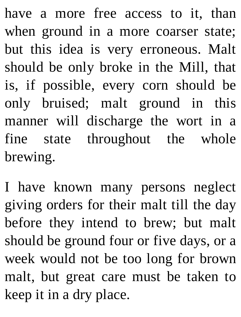have a more free access to it, than when ground in a more coarser state; but this idea is very erroneous. Malt should be only broke in the Mill, that is, if possible, every corn should be only bruised; malt ground in this manner will discharge the wort in a fine state throughout the whole brewing.

I have known many persons neglect giving orders for their malt till the day before they intend to brew; but malt should be ground four or five days, or a week would not be too long for brown malt, but great care must be taken to keep it in a dry place.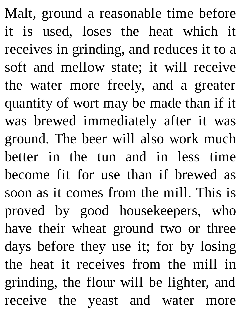Malt, ground a reasonable time before it is used, loses the heat which it receives in grinding, and reduces it to a soft and mellow state; it will receive the water more freely, and a greater quantity of wort may be made than if it was brewed immediately after it was ground. The beer will also work much better in the tun and in less time become fit for use than if brewed as soon as it comes from the mill. This is proved by good housekeepers, who have their wheat ground two or three days before they use it; for by losing the heat it receives from the mill in grinding, the flour will be lighter, and receive the yeast and water more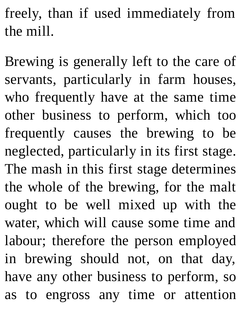freely, than if used immediately from the mill.

Brewing is generally left to the care of servants, particularly in farm houses, who frequently have at the same time other business to perform, which too frequently causes the brewing to be neglected, particularly in its first stage. The mash in this first stage determines the whole of the brewing, for the malt ought to be well mixed up with the water, which will cause some time and labour; therefore the person employed in brewing should not, on that day, have any other business to perform, so as to engross any time or attention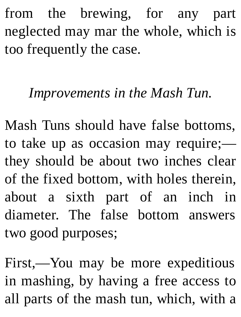from the brewing, for any part neglected may mar the whole, which is too frequently the case.

#### *Improvements in the Mash Tun.*

Mash Tuns should have false bottoms, to take up as occasion may require; they should be about two inches clear of the fixed bottom, with holes therein, about a sixth part of an inch in diameter. The false bottom answers two good purposes;

First,—You may be more expeditious in mashing, by having a free access to all parts of the mash tun, which, with a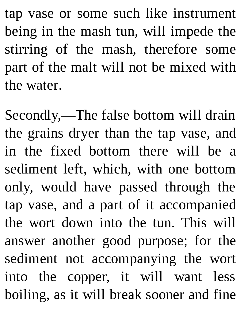tap vase or some such like instrument being in the mash tun, will impede the stirring of the mash, therefore some part of the malt will not be mixed with the water.

Secondly,—The false bottom will drain the grains dryer than the tap vase, and in the fixed bottom there will be a sediment left, which, with one bottom only, would have passed through the tap vase, and a part of it accompanied the wort down into the tun. This will answer another good purpose; for the sediment not accompanying the wort into the copper, it will want less boiling, as it will break sooner and fine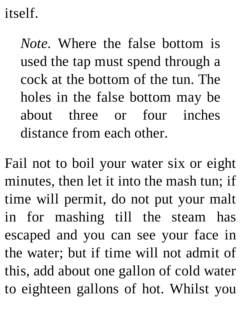itself.

*Note.* Where the false bottom is used the tap must spend through a cock at the bottom of the tun. The holes in the false bottom may be about three or four inches distance from each other.

Fail not to boil your water six or eight minutes, then let it into the mash tun; if time will permit, do not put your malt in for mashing till the steam has escaped and you can see your face in the water; but if time will not admit of this, add about one gallon of cold water to eighteen gallons of hot. Whilst you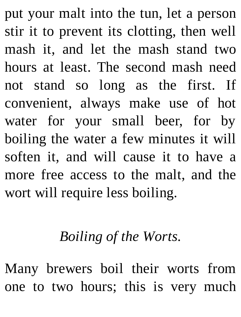put your malt into the tun, let a person stir it to prevent its clotting, then well mash it, and let the mash stand two hours at least. The second mash need not stand so long as the first. If convenient, always make use of hot water for your small beer, for by boiling the water a few minutes it will soften it, and will cause it to have a more free access to the malt, and the wort will require less boiling.

#### *Boiling of the Worts.*

Many brewers boil their worts from one to two hours; this is very much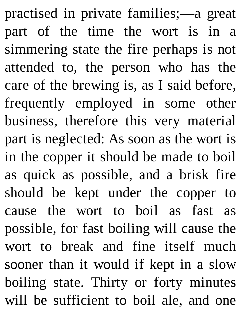practised in private families;—a great part of the time the wort is in a simmering state the fire perhaps is not attended to, the person who has the care of the brewing is, as I said before, frequently employed in some other business, therefore this very material part is neglected: As soon as the wort is in the copper it should be made to boil as quick as possible, and a brisk fire should be kept under the copper to cause the wort to boil as fast as possible, for fast boiling will cause the wort to break and fine itself much sooner than it would if kept in a slow boiling state. Thirty or forty minutes will be sufficient to boil ale, and one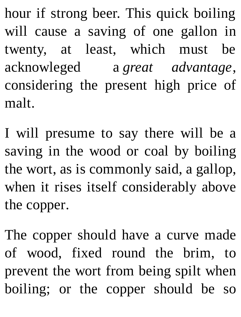hour if strong beer. This quick boiling will cause a saving of one gallon in twenty, at least, which must be acknowleged a *great advantage*, considering the present high price of malt.

I will presume to say there will be a saving in the wood or coal by boiling the wort, as is commonly said, a gallop, when it rises itself considerably above the copper.

The copper should have a curve made of wood, fixed round the brim, to prevent the wort from being spilt when boiling; or the copper should be so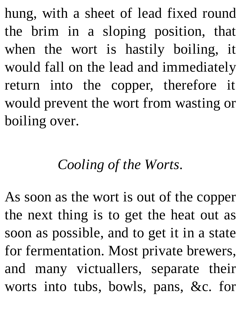hung, with a sheet of lead fixed round the brim in a sloping position, that when the wort is hastily boiling, it would fall on the lead and immediately return into the copper, therefore it would prevent the wort from wasting or boiling over.

#### *Cooling of the Worts.*

As soon as the wort is out of the copper the next thing is to get the heat out as soon as possible, and to get it in a state for fermentation. Most private brewers, and many victuallers, separate their worts into tubs, bowls, pans, &c. for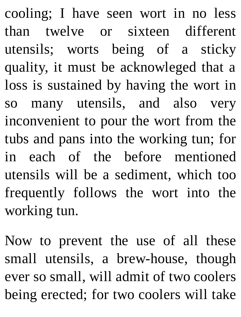cooling; I have seen wort in no less than twelve or sixteen different utensils; worts being of a sticky quality, it must be acknowleged that a loss is sustained by having the wort in so many utensils, and also very inconvenient to pour the wort from the tubs and pans into the working tun; for in each of the before mentioned utensils will be a sediment, which too frequently follows the wort into the working tun.

Now to prevent the use of all these small utensils, a brew-house, though ever so small, will admit of two coolers being erected; for two coolers will take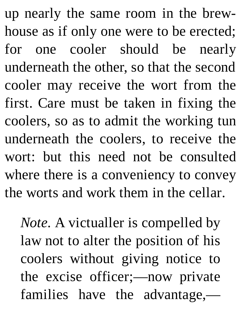up nearly the same room in the brewhouse as if only one were to be erected; for one cooler should be nearly underneath the other, so that the second cooler may receive the wort from the first. Care must be taken in fixing the coolers, so as to admit the working tun underneath the coolers, to receive the wort: but this need not be consulted where there is a conveniency to convey the worts and work them in the cellar.

*Note.* A victualler is compelled by law not to alter the position of his coolers without giving notice to the excise officer;—now private families have the advantage,—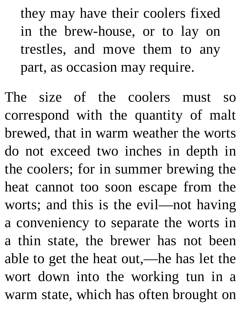they may have their coolers fixed in the brew-house, or to lay on trestles, and move them to any part, as occasion may require.

The size of the coolers must so correspond with the quantity of malt brewed, that in warm weather the worts do not exceed two inches in depth in the coolers; for in summer brewing the heat cannot too soon escape from the worts; and this is the evil—not having a conveniency to separate the worts in a thin state, the brewer has not been able to get the heat out,—he has let the wort down into the working tun in a warm state, which has often brought on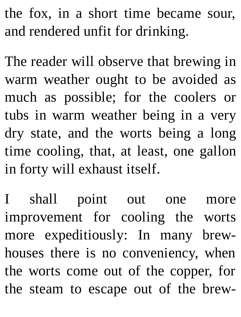the fox, in a short time became sour, and rendered unfit for drinking.

The reader will observe that brewing in warm weather ought to be avoided as much as possible; for the coolers or tubs in warm weather being in a very dry state, and the worts being a long time cooling, that, at least, one gallon in forty will exhaust itself.

I shall point out one more improvement for cooling the worts more expeditiously: In many brewhouses there is no conveniency, when the worts come out of the copper, for the steam to escape out of the brew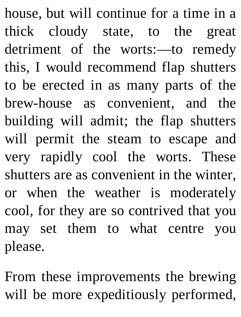house, but will continue for a time in a thick cloudy state, to the great detriment of the worts:—to remedy this, I would recommend flap shutters to be erected in as many parts of the brew-house as convenient, and the building will admit; the flap shutters will permit the steam to escape and very rapidly cool the worts. These shutters are as convenient in the winter, or when the weather is moderately cool, for they are so contrived that you may set them to what centre you please.

From these improvements the brewing will be more expeditiously performed,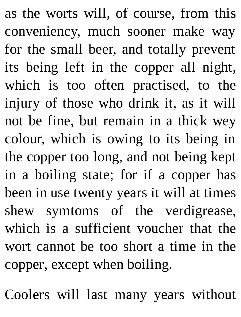as the worts will, of course, from this conveniency, much sooner make way for the small beer, and totally prevent its being left in the copper all night, which is too often practised, to the injury of those who drink it, as it will not be fine, but remain in a thick wey colour, which is owing to its being in the copper too long, and not being kept in a boiling state; for if a copper has been in use twenty years it will at times shew symtoms of the verdigrease, which is a sufficient voucher that the wort cannot be too short a time in the copper, except when boiling.

Coolers will last many years without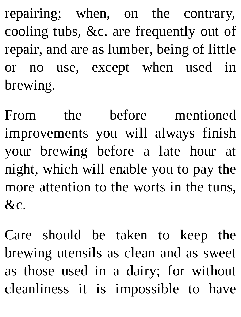repairing; when, on the contrary, cooling tubs, &c. are frequently out of repair, and are as lumber, being of little or no use, except when used in brewing.

From the before mentioned improvements you will always finish your brewing before a late hour at night, which will enable you to pay the more attention to the worts in the tuns,  $&c.$ 

Care should be taken to keep the brewing utensils as clean and as sweet as those used in a dairy; for without cleanliness it is impossible to have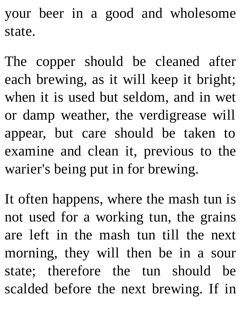your beer in a good and wholesome state.

The copper should be cleaned after each brewing, as it will keep it bright; when it is used but seldom, and in wet or damp weather, the verdigrease will appear, but care should be taken to examine and clean it, previous to the warier's being put in for brewing.

It often happens, where the mash tun is not used for a working tun, the grains are left in the mash tun till the next morning, they will then be in a sour state; therefore the tun should be scalded before the next brewing. If in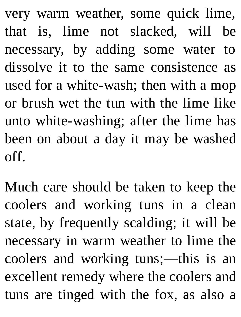very warm weather, some quick lime, that is, lime not slacked, will be necessary, by adding some water to dissolve it to the same consistence as used for a white-wash; then with a mop or brush wet the tun with the lime like unto white-washing; after the lime has been on about a day it may be washed off.

Much care should be taken to keep the coolers and working tuns in a clean state, by frequently scalding; it will be necessary in warm weather to lime the coolers and working tuns;—this is an excellent remedy where the coolers and tuns are tinged with the fox, as also a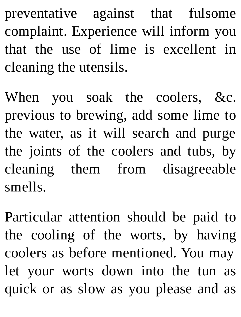preventative against that fulsome complaint. Experience will inform you that the use of lime is excellent in cleaning the utensils.

When you soak the coolers, &c. previous to brewing, add some lime to the water, as it will search and purge the joints of the coolers and tubs, by cleaning them from disagreeable smells.

Particular attention should be paid to the cooling of the worts, by having coolers as before mentioned. You may let your worts down into the tun as quick or as slow as you please and as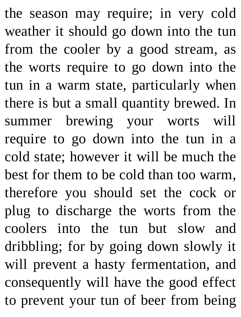the season may require; in very cold weather it should go down into the tun from the cooler by a good stream, as the worts require to go down into the tun in a warm state, particularly when there is but a small quantity brewed. In summer brewing your worts will require to go down into the tun in a cold state; however it will be much the best for them to be cold than too warm, therefore you should set the cock or plug to discharge the worts from the coolers into the tun but slow and dribbling; for by going down slowly it will prevent a hasty fermentation, and consequently will have the good effect to prevent your tun of beer from being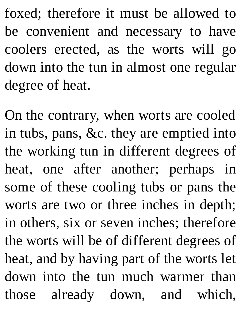foxed; therefore it must be allowed to be convenient and necessary to have coolers erected, as the worts will go down into the tun in almost one regular degree of heat.

On the contrary, when worts are cooled in tubs, pans, &c. they are emptied into the working tun in different degrees of heat, one after another; perhaps in some of these cooling tubs or pans the worts are two or three inches in depth; in others, six or seven inches; therefore the worts will be of different degrees of heat, and by having part of the worts let down into the tun much warmer than those already down, and which,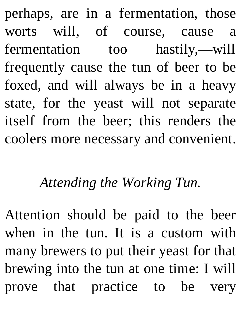perhaps, are in a fermentation, those worts will, of course, cause a fermentation too hastily,—will frequently cause the tun of beer to be foxed, and will always be in a heavy state, for the yeast will not separate itself from the beer; this renders the coolers more necessary and convenient.

## *Attending the Working Tun.*

Attention should be paid to the beer when in the tun. It is a custom with many brewers to put their yeast for that brewing into the tun at one time: I will prove that practice to be very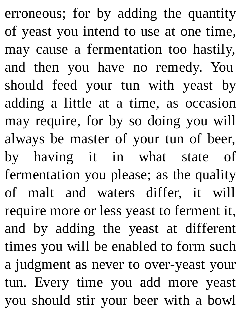erroneous; for by adding the quantity of yeast you intend to use at one time, may cause a fermentation too hastily, and then you have no remedy. You should feed your tun with yeast by adding a little at a time, as occasion may require, for by so doing you will always be master of your tun of beer, by having it in what state of fermentation you please; as the quality of malt and waters differ, it will require more or less yeast to ferment it, and by adding the yeast at different times you will be enabled to form such a judgment as never to over-yeast your tun. Every time you add more yeast you should stir your beer with a bowl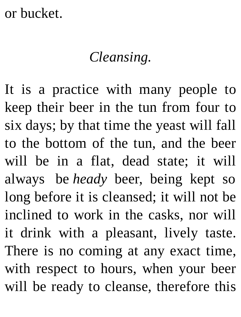## or bucket.

## *Cleansing.*

It is a practice with many people to keep their beer in the tun from four to six days; by that time the yeast will fall to the bottom of the tun, and the beer will be in a flat, dead state; it will always be *heady* beer, being kept so long before it is cleansed; it will not be inclined to work in the casks, nor will it drink with a pleasant, lively taste. There is no coming at any exact time, with respect to hours, when your beer will be ready to cleanse, therefore this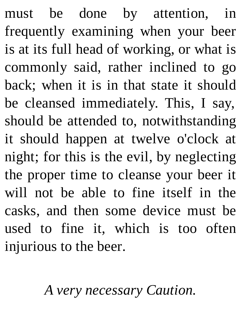must be done by attention, in frequently examining when your beer is at its full head of working, or what is commonly said, rather inclined to go back; when it is in that state it should be cleansed immediately. This, I say, should be attended to, notwithstanding it should happen at twelve o'clock at night; for this is the evil, by neglecting the proper time to cleanse your beer it will not be able to fine itself in the casks, and then some device must be used to fine it, which is too often injurious to the beer.

*A very necessary Caution.*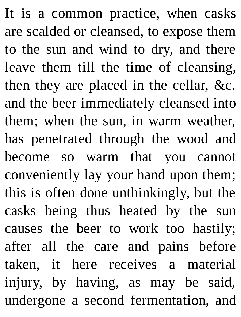It is a common practice, when casks are scalded or cleansed, to expose them to the sun and wind to dry, and there leave them till the time of cleansing, then they are placed in the cellar, &c. and the beer immediately cleansed into them; when the sun, in warm weather, has penetrated through the wood and become so warm that you cannot conveniently lay your hand upon them; this is often done unthinkingly, but the casks being thus heated by the sun causes the beer to work too hastily; after all the care and pains before taken, it here receives a material injury, by having, as may be said, undergone a second fermentation, and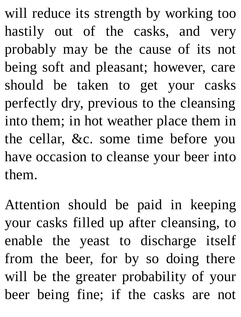will reduce its strength by working too hastily out of the casks, and very probably may be the cause of its not being soft and pleasant; however, care should be taken to get your casks perfectly dry, previous to the cleansing into them; in hot weather place them in the cellar, &c. some time before you have occasion to cleanse your beer into them.

Attention should be paid in keeping your casks filled up after cleansing, to enable the yeast to discharge itself from the beer, for by so doing there will be the greater probability of your beer being fine; if the casks are not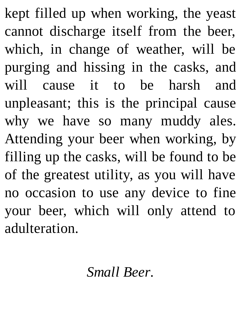kept filled up when working, the yeast cannot discharge itself from the beer, which, in change of weather, will be purging and hissing in the casks, and will cause it to be harsh and unpleasant; this is the principal cause why we have so many muddy ales. Attending your beer when working, by filling up the casks, will be found to be of the greatest utility, as you will have no occasion to use any device to fine your beer, which will only attend to adulteration.

*Small Beer.*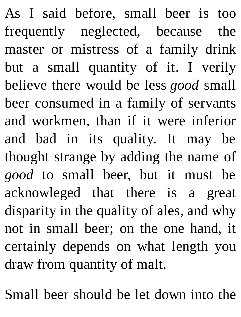As I said before, small beer is too frequently neglected, because the master or mistress of a family drink but a small quantity of it. I verily believe there would be less *good* small beer consumed in a family of servants and workmen, than if it were inferior and bad in its quality. It may be thought strange by adding the name of *good* to small beer, but it must be acknowleged that there is a great disparity in the quality of ales, and why not in small beer; on the one hand, it certainly depends on what length you draw from quantity of malt.

Small beer should be let down into the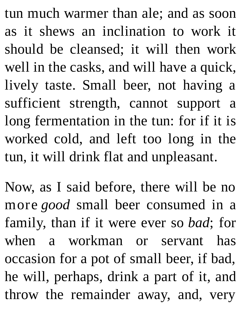tun much warmer than ale; and as soon as it shews an inclination to work it should be cleansed; it will then work well in the casks, and will have a quick, lively taste. Small beer, not having a sufficient strength, cannot support a long fermentation in the tun: for if it is worked cold, and left too long in the tun, it will drink flat and unpleasant.

Now, as I said before, there will be no more *good* small beer consumed in a family, than if it were ever so *bad*; for when a workman or servant has occasion for a pot of small beer, if bad, he will, perhaps, drink a part of it, and throw the remainder away, and, very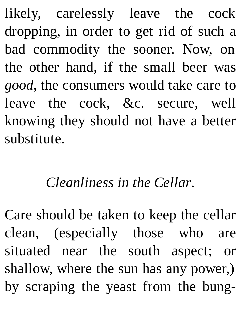likely, carelessly leave the cock dropping, in order to get rid of such a bad commodity the sooner. Now, on the other hand, if the small beer was *good*, the consumers would take care to leave the cock, &c. secure, well knowing they should not have a better substitute.

## *Cleanliness in the Cellar.*

Care should be taken to keep the cellar clean, (especially those who are situated near the south aspect; or shallow, where the sun has any power,) by scraping the yeast from the bung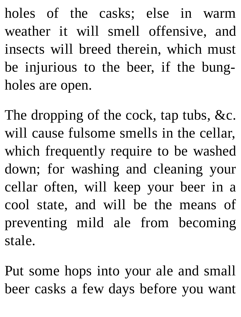holes of the casks; else in warm weather it will smell offensive, and insects will breed therein, which must be injurious to the beer, if the bungholes are open.

The dropping of the cock, tap tubs, &c. will cause fulsome smells in the cellar, which frequently require to be washed down; for washing and cleaning your cellar often, will keep your beer in a cool state, and will be the means of preventing mild ale from becoming stale.

Put some hops into your ale and small beer casks a few days before you want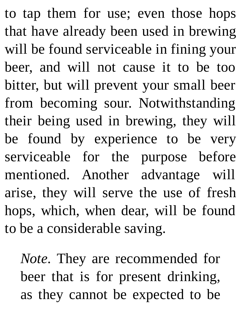to tap them for use; even those hops that have already been used in brewing will be found serviceable in fining your beer, and will not cause it to be too bitter, but will prevent your small beer from becoming sour. Notwithstanding their being used in brewing, they will be found by experience to be very serviceable for the purpose before mentioned. Another advantage will arise, they will serve the use of fresh hops, which, when dear, will be found to be a considerable saving.

*Note.* They are recommended for beer that is for present drinking, as they cannot be expected to be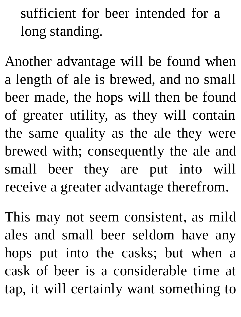sufficient for beer intended for a long standing.

Another advantage will be found when a length of ale is brewed, and no small beer made, the hops will then be found of greater utility, as they will contain the same quality as the ale they were brewed with; consequently the ale and small beer they are put into will receive a greater advantage therefrom.

This may not seem consistent, as mild ales and small beer seldom have any hops put into the casks; but when a cask of beer is a considerable time at tap, it will certainly want something to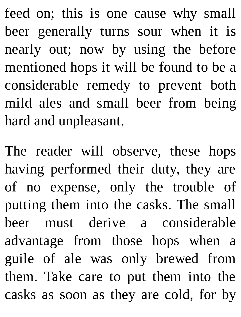feed on; this is one cause why small beer generally turns sour when it is nearly out; now by using the before mentioned hops it will be found to be a considerable remedy to prevent both mild ales and small beer from being hard and unpleasant.

The reader will observe, these hops having performed their duty, they are of no expense, only the trouble of putting them into the casks. The small beer must derive a considerable advantage from those hops when a guile of ale was only brewed from them. Take care to put them into the casks as soon as they are cold, for by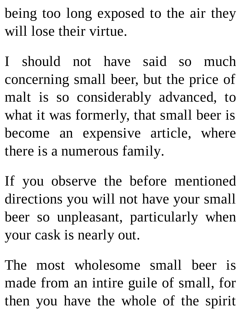being too long exposed to the air they will lose their virtue.

I should not have said so much concerning small beer, but the price of malt is so considerably advanced, to what it was formerly, that small beer is become an expensive article, where there is a numerous family.

If you observe the before mentioned directions you will not have your small beer so unpleasant, particularly when your cask is nearly out.

The most wholesome small beer is made from an intire guile of small, for then you have the whole of the spirit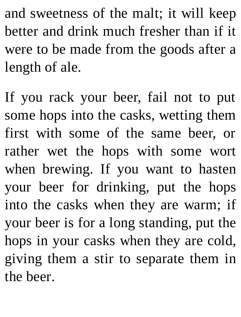and sweetness of the malt; it will keep better and drink much fresher than if it were to be made from the goods after a length of ale.

If you rack your beer, fail not to put some hops into the casks, wetting them first with some of the same beer, or rather wet the hops with some wort when brewing. If you want to hasten your beer for drinking, put the hops into the casks when they are warm; if your beer is for a long standing, put the hops in your casks when they are cold, giving them a stir to separate them in the beer.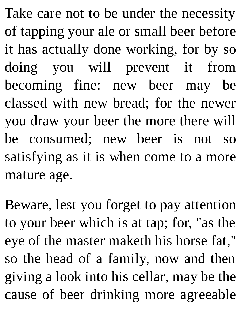Take care not to be under the necessity of tapping your ale or small beer before it has actually done working, for by so doing you will prevent it from becoming fine: new beer may be classed with new bread; for the newer you draw your beer the more there will be consumed; new beer is not so satisfying as it is when come to a more mature age.

Beware, lest you forget to pay attention to your beer which is at tap; for, "as the eye of the master maketh his horse fat," so the head of a family, now and then giving a look into his cellar, may be the cause of beer drinking more agreeable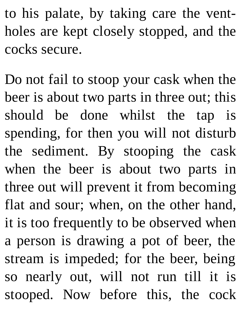to his palate, by taking care the ventholes are kept closely stopped, and the cocks secure.

Do not fail to stoop your cask when the beer is about two parts in three out; this should be done whilst the tap is spending, for then you will not disturb the sediment. By stooping the cask when the beer is about two parts in three out will prevent it from becoming flat and sour; when, on the other hand, it is too frequently to be observed when a person is drawing a pot of beer, the stream is impeded; for the beer, being so nearly out, will not run till it is stooped. Now before this, the cock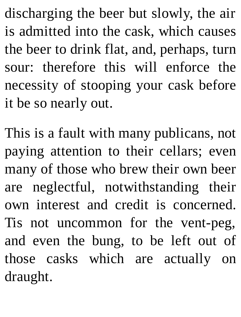discharging the beer but slowly, the air is admitted into the cask, which causes the beer to drink flat, and, perhaps, turn sour: therefore this will enforce the necessity of stooping your cask before it be so nearly out.

This is a fault with many publicans, not paying attention to their cellars; even many of those who brew their own beer are neglectful, notwithstanding their own interest and credit is concerned. Tis not uncommon for the vent-peg, and even the bung, to be left out of those casks which are actually on draught.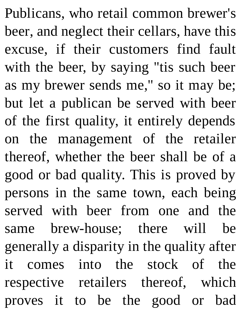Publicans, who retail common brewer's beer, and neglect their cellars, have this excuse, if their customers find fault with the beer, by saying "tis such beer as my brewer sends me," so it may be; but let a publican be served with beer of the first quality, it entirely depends on the management of the retailer thereof, whether the beer shall be of a good or bad quality. This is proved by persons in the same town, each being served with beer from one and the same brew-house; there will be generally a disparity in the quality after it comes into the stock of the respective retailers thereof, which proves it to be the good or bad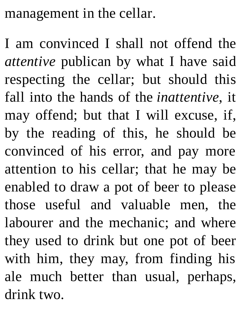management in the cellar.

I am convinced I shall not offend the *attentive* publican by what I have said respecting the cellar; but should this fall into the hands of the *inattentive*, it may offend; but that I will excuse, if, by the reading of this, he should be convinced of his error, and pay more attention to his cellar; that he may be enabled to draw a pot of beer to please those useful and valuable men, the labourer and the mechanic; and where they used to drink but one pot of beer with him, they may, from finding his ale much better than usual, perhaps, drink two.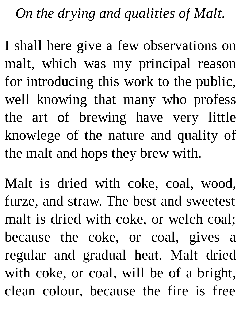*On the drying and qualities of Malt.*

I shall here give a few observations on malt, which was my principal reason for introducing this work to the public, well knowing that many who profess the art of brewing have very little knowlege of the nature and quality of the malt and hops they brew with.

Malt is dried with coke, coal, wood, furze, and straw. The best and sweetest malt is dried with coke, or welch coal; because the coke, or coal, gives a regular and gradual heat. Malt dried with coke, or coal, will be of a bright, clean colour, because the fire is free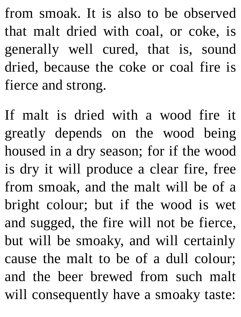from smoak. It is also to be observed that malt dried with coal, or coke, is generally well cured, that is, sound dried, because the coke or coal fire is fierce and strong.

If malt is dried with a wood fire it greatly depends on the wood being housed in a dry season; for if the wood is dry it will produce a clear fire, free from smoak, and the malt will be of a bright colour; but if the wood is wet and sugged, the fire will not be fierce, but will be smoaky, and will certainly cause the malt to be of a dull colour; and the beer brewed from such malt will consequently have a smoaky taste: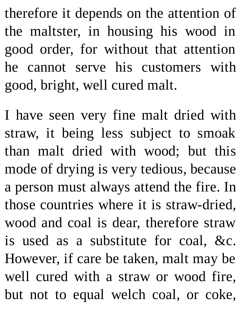therefore it depends on the attention of the maltster, in housing his wood in good order, for without that attention he cannot serve his customers with good, bright, well cured malt.

I have seen very fine malt dried with straw, it being less subject to smoak than malt dried with wood; but this mode of drying is very tedious, because a person must always attend the fire. In those countries where it is straw-dried, wood and coal is dear, therefore straw is used as a substitute for coal, &c. However, if care be taken, malt may be well cured with a straw or wood fire, but not to equal welch coal, or coke,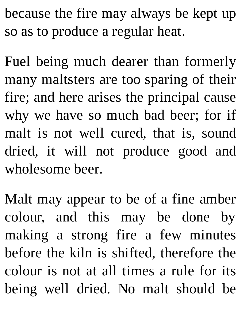because the fire may always be kept up so as to produce a regular heat.

Fuel being much dearer than formerly many maltsters are too sparing of their fire; and here arises the principal cause why we have so much bad beer; for if malt is not well cured, that is, sound dried, it will not produce good and wholesome beer.

Malt may appear to be of a fine amber colour, and this may be done by making a strong fire a few minutes before the kiln is shifted, therefore the colour is not at all times a rule for its being well dried. No malt should be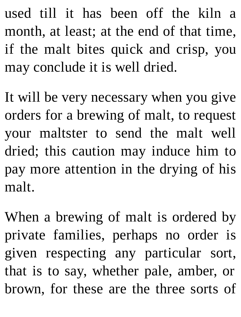used till it has been off the kiln a month, at least; at the end of that time, if the malt bites quick and crisp, you may conclude it is well dried.

It will be very necessary when you give orders for a brewing of malt, to request your maltster to send the malt well dried; this caution may induce him to pay more attention in the drying of his malt.

When a brewing of malt is ordered by private families, perhaps no order is given respecting any particular sort, that is to say, whether pale, amber, or brown, for these are the three sorts of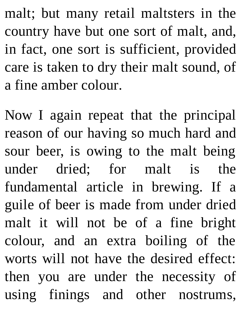malt; but many retail maltsters in the country have but one sort of malt, and, in fact, one sort is sufficient, provided care is taken to dry their malt sound, of a fine amber colour.

Now I again repeat that the principal reason of our having so much hard and sour beer, is owing to the malt being under dried; for malt is the fundamental article in brewing. If a guile of beer is made from under dried malt it will not be of a fine bright colour, and an extra boiling of the worts will not have the desired effect: then you are under the necessity of using finings and other nostrums,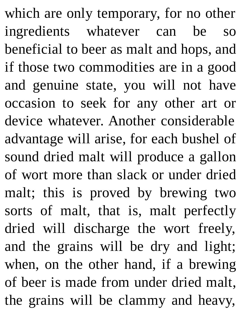which are only temporary, for no other ingredients whatever can be so beneficial to beer as malt and hops, and if those two commodities are in a good and genuine state, you will not have occasion to seek for any other art or device whatever. Another considerable advantage will arise, for each bushel of sound dried malt will produce a gallon of wort more than slack or under dried malt; this is proved by brewing two sorts of malt, that is, malt perfectly dried will discharge the wort freely, and the grains will be dry and light; when, on the other hand, if a brewing of beer is made from under dried malt, the grains will be clammy and heavy,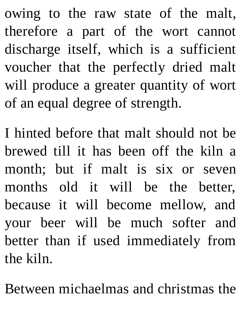owing to the raw state of the malt, therefore a part of the wort cannot discharge itself, which is a sufficient voucher that the perfectly dried malt will produce a greater quantity of wort of an equal degree of strength.

I hinted before that malt should not be brewed till it has been off the kiln a month; but if malt is six or seven months old it will be the better, because it will become mellow, and your beer will be much softer and better than if used immediately from the kiln.

Between michaelmas and christmas the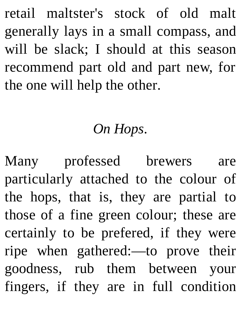retail maltster's stock of old malt generally lays in a small compass, and will be slack; I should at this season recommend part old and part new, for the one will help the other.

## *On Hops.*

Many professed brewers are particularly attached to the colour of the hops, that is, they are partial to those of a fine green colour; these are certainly to be prefered, if they were ripe when gathered:—to prove their goodness, rub them between your fingers, if they are in full condition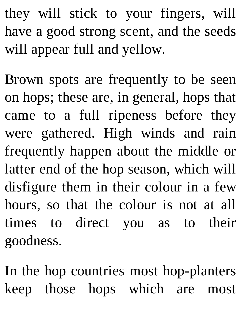they will stick to your fingers, will have a good strong scent, and the seeds will appear full and yellow.

Brown spots are frequently to be seen on hops; these are, in general, hops that came to a full ripeness before they were gathered. High winds and rain frequently happen about the middle or latter end of the hop season, which will disfigure them in their colour in a few hours, so that the colour is not at all times to direct you as to their goodness.

In the hop countries most hop-planters keep those hops which are most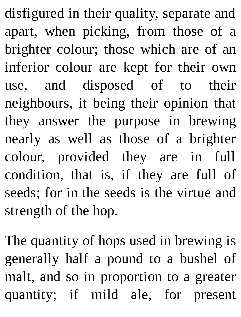disfigured in their quality, separate and apart, when picking, from those of a brighter colour; those which are of an inferior colour are kept for their own use, and disposed of to their neighbours, it being their opinion that they answer the purpose in brewing nearly as well as those of a brighter colour, provided they are in full condition, that is, if they are full of seeds; for in the seeds is the virtue and strength of the hop.

The quantity of hops used in brewing is generally half a pound to a bushel of malt, and so in proportion to a greater quantity; if mild ale, for present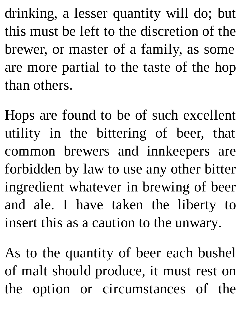drinking, a lesser quantity will do; but this must be left to the discretion of the brewer, or master of a family, as some are more partial to the taste of the hop than others.

Hops are found to be of such excellent utility in the bittering of beer, that common brewers and innkeepers are forbidden by law to use any other bitter ingredient whatever in brewing of beer and ale. I have taken the liberty to insert this as a caution to the unwary.

As to the quantity of beer each bushel of malt should produce, it must rest on the option or circumstances of the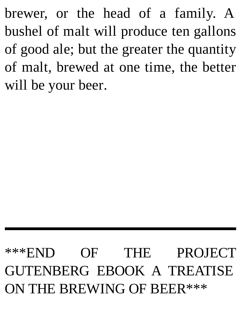brewer, or the head of a family. A bushel of malt will produce ten gallons of good ale; but the greater the quantity of malt, brewed at one time, the better will be your beer.

## \*\*\*END OF THE PROJECT GUTENBERG EBOOK A TREATISE ON THE BREWING OF BEER\*\*\*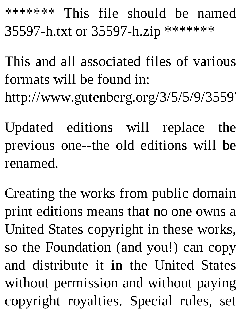\*\*\*\*\*\*\* This file should be named 35597-h.txt or 35597-h.zip \*\*\*\*\*\*\*

This and all associated files of various formats will be found in: http://www.gutenberg.org/3/5/5/9/35597

Updated editions will replace the previous one--the old editions will be renamed.

Creating the works from public domain print editions means that no one owns a United States copyright in these works, so the Foundation (and you!) can copy and distribute it in the United States without permission and without paying copyright royalties. Special rules, set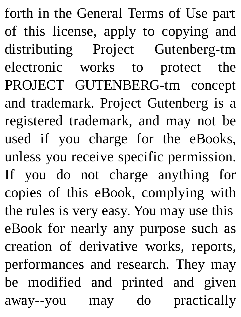forth in the General Terms of Use part of this license, apply to copying and distributing Project Gutenberg-tm electronic works to protect the PROJECT GUTENBERG-tm concept and trademark. Project Gutenberg is a registered trademark, and may not be used if you charge for the eBooks, unless you receive specific permission. If you do not charge anything for copies of this eBook, complying with the rules is very easy. You may use this eBook for nearly any purpose such as creation of derivative works, reports, performances and research. They may be modified and printed and given away--you may do practically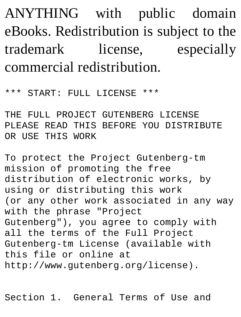ANYTHING with public domain eBooks. Redistribution is subject to the trademark license, especially commercial redistribution.

```
*** START: FULL LICENSE ***
```
THE FULL PROJECT GUTENBERG LICENSE PLEASE READ THIS BEFORE YOU DISTRIBUTE OR USE THIS WORK

To protect the Project Gutenberg-tm mission of promoting the free distribution of electronic works, by using or distributing this work (or any other work associated in any way with the phrase "Project Gutenberg"), you agree to comply with all the terms of the Full Project Gutenberg-tm License (available with this file or online at http://www.gutenberg.org/license).

Section 1. General Terms of Use and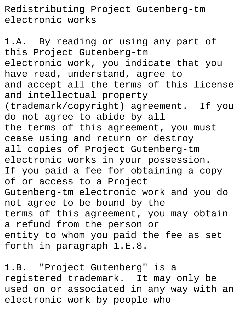Redistributing Project Gutenberg-tm electronic works

1.A. By reading or using any part of this Project Gutenberg-tm electronic work, you indicate that you have read, understand, agree to and accept all the terms of this license and intellectual property (trademark/copyright) agreement. If you do not agree to abide by all the terms of this agreement, you must cease using and return or destroy all copies of Project Gutenberg-tm electronic works in your possession. If you paid a fee for obtaining a copy of or access to a Project Gutenberg-tm electronic work and you do not agree to be bound by the terms of this agreement, you may obtain a refund from the person or entity to whom you paid the fee as set forth in paragraph 1.E.8.

1.B. "Project Gutenberg" is a registered trademark. It may only be used on or associated in any way with an electronic work by people who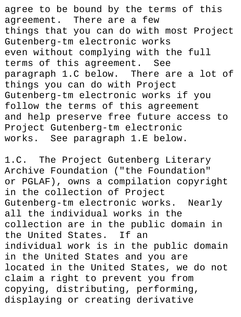agree to be bound by the terms of this agreement. There are a few things that you can do with most Project Gutenberg-tm electronic works even without complying with the full terms of this agreement. See paragraph 1.C below. There are a lot of things you can do with Project Gutenberg-tm electronic works if you follow the terms of this agreement and help preserve free future access to Project Gutenberg-tm electronic works. See paragraph 1.E below.

1.C. The Project Gutenberg Literary Archive Foundation ("the Foundation" or PGLAF), owns a compilation copyright in the collection of Project Gutenberg-tm electronic works. Nearly all the individual works in the collection are in the public domain in the United States. If an individual work is in the public domain in the United States and you are located in the United States, we do not claim a right to prevent you from copying, distributing, performing, displaying or creating derivative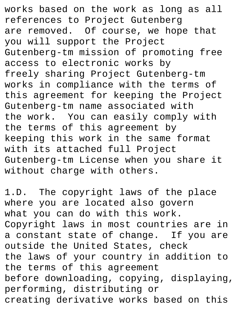works based on the work as long as all references to Project Gutenberg are removed. Of course, we hope that you will support the Project Gutenberg-tm mission of promoting free access to electronic works by freely sharing Project Gutenberg-tm works in compliance with the terms of this agreement for keeping the Project Gutenberg-tm name associated with the work. You can easily comply with the terms of this agreement by keeping this work in the same format with its attached full Project Gutenberg-tm License when you share it without charge with others.

1.D. The copyright laws of the place where you are located also govern what you can do with this work. Copyright laws in most countries are in a constant state of change. If you are outside the United States, check the laws of your country in addition to the terms of this agreement before downloading, copying, displaying, performing, distributing or creating derivative works based on this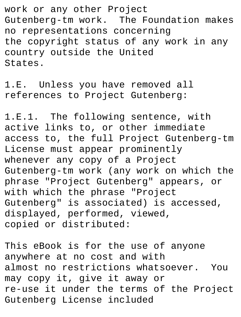work or any other Project Gutenberg-tm work. The Foundation makes no representations concerning the copyright status of any work in any country outside the United States.

1.E. Unless you have removed all references to Project Gutenberg:

1.E.1. The following sentence, with active links to, or other immediate access to, the full Project Gutenberg-tm License must appear prominently whenever any copy of a Project Gutenberg-tm work (any work on which the phrase "Project Gutenberg" appears, or with which the phrase "Project Gutenberg" is associated) is accessed, displayed, performed, viewed, copied or distributed:

This eBook is for the use of anyone anywhere at no cost and with almost no restrictions whatsoever. You may copy it, give it away or re-use it under the terms of the Project Gutenberg License included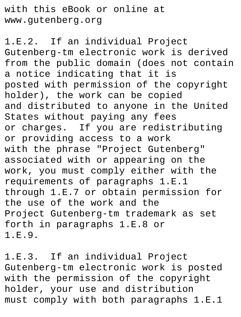with this eBook or online at www.gutenberg.org

1.E.2. If an individual Project Gutenberg-tm electronic work is derived from the public domain (does not contain a notice indicating that it is posted with permission of the copyright holder), the work can be copied and distributed to anyone in the United States without paying any fees or charges. If you are redistributing or providing access to a work with the phrase "Project Gutenberg" associated with or appearing on the work, you must comply either with the requirements of paragraphs 1.E.1 through 1.E.7 or obtain permission for the use of the work and the Project Gutenberg-tm trademark as set forth in paragraphs 1.E.8 or 1.E.9.

1.E.3. If an individual Project Gutenberg-tm electronic work is posted with the permission of the copyright holder, your use and distribution must comply with both paragraphs 1.E.1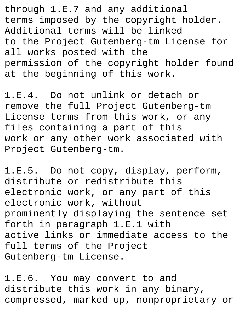through 1.E.7 and any additional terms imposed by the copyright holder. Additional terms will be linked to the Project Gutenberg-tm License for all works posted with the permission of the copyright holder found at the beginning of this work.

1.E.4. Do not unlink or detach or remove the full Project Gutenberg-tm License terms from this work, or any files containing a part of this work or any other work associated with Project Gutenberg-tm.

1.E.5. Do not copy, display, perform, distribute or redistribute this electronic work, or any part of this electronic work, without prominently displaying the sentence set forth in paragraph 1.E.1 with active links or immediate access to the full terms of the Project Gutenberg-tm License.

1.E.6. You may convert to and distribute this work in any binary, compressed, marked up, nonproprietary or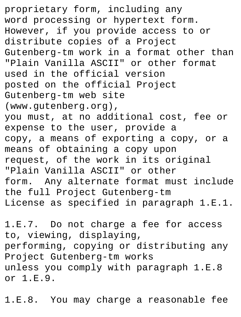proprietary form, including any word processing or hypertext form. However, if you provide access to or distribute copies of a Project Gutenberg-tm work in a format other than "Plain Vanilla ASCII" or other format used in the official version posted on the official Project Gutenberg-tm web site (www.gutenberg.org), you must, at no additional cost, fee or expense to the user, provide a copy, a means of exporting a copy, or a means of obtaining a copy upon request, of the work in its original "Plain Vanilla ASCII" or other form. Any alternate format must include the full Project Gutenberg-tm License as specified in paragraph 1.E.1.

1.E.7. Do not charge a fee for access to, viewing, displaying, performing, copying or distributing any Project Gutenberg-tm works unless you comply with paragraph 1.E.8 or 1.E.9.

1.E.8. You may charge a reasonable fee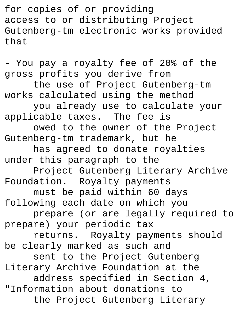for copies of or providing access to or distributing Project Gutenberg-tm electronic works provided that

- You pay a royalty fee of 20% of the gross profits you derive from the use of Project Gutenberg-tm works calculated using the method you already use to calculate your applicable taxes. The fee is owed to the owner of the Project Gutenberg-tm trademark, but he has agreed to donate royalties under this paragraph to the Project Gutenberg Literary Archive Foundation. Royalty payments must be paid within 60 days following each date on which you prepare (or are legally required to prepare) your periodic tax returns. Royalty payments should be clearly marked as such and sent to the Project Gutenberg Literary Archive Foundation at the address specified in Section 4, "Information about donations to the Project Gutenberg Literary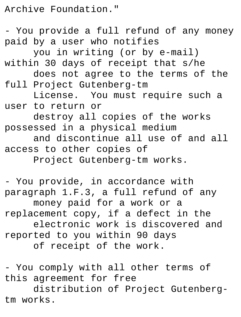Archive Foundation."

- You provide a full refund of any money paid by a user who notifies you in writing (or by e-mail) within 30 days of receipt that s/he does not agree to the terms of the full Project Gutenberg-tm License. You must require such a user to return or destroy all copies of the works possessed in a physical medium and discontinue all use of and all access to other copies of Project Gutenberg-tm works.

- You provide, in accordance with paragraph 1.F.3, a full refund of any money paid for a work or a replacement copy, if a defect in the electronic work is discovered and reported to you within 90 days of receipt of the work.

- You comply with all other terms of this agreement for free

distribution of Project Gutenbergtm works.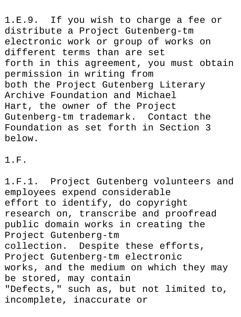1.E.9. If you wish to charge a fee or distribute a Project Gutenberg-tm electronic work or group of works on different terms than are set forth in this agreement, you must obtain permission in writing from both the Project Gutenberg Literary Archive Foundation and Michael Hart, the owner of the Project Gutenberg-tm trademark. Contact the Foundation as set forth in Section 3 below.

1.F.

1.F.1. Project Gutenberg volunteers and employees expend considerable effort to identify, do copyright research on, transcribe and proofread public domain works in creating the Project Gutenberg-tm collection. Despite these efforts, Project Gutenberg-tm electronic works, and the medium on which they may be stored, may contain "Defects," such as, but not limited to, incomplete, inaccurate or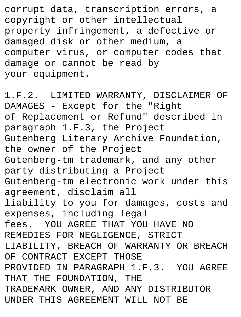corrupt data, transcription errors, a copyright or other intellectual property infringement, a defective or damaged disk or other medium, a computer virus, or computer codes that damage or cannot be read by your equipment.

1.F.2. LIMITED WARRANTY, DISCLAIMER OF DAMAGES - Except for the "Right of Replacement or Refund" described in paragraph 1.F.3, the Project Gutenberg Literary Archive Foundation, the owner of the Project Gutenberg-tm trademark, and any other party distributing a Project Gutenberg-tm electronic work under this agreement, disclaim all liability to you for damages, costs and expenses, including legal fees. YOU AGREE THAT YOU HAVE NO REMEDIES FOR NEGLIGENCE, STRICT LIABILITY, BREACH OF WARRANTY OR BREACH OF CONTRACT EXCEPT THOSE PROVIDED IN PARAGRAPH 1.F.3. YOU AGREE THAT THE FOUNDATION, THE TRADEMARK OWNER, AND ANY DISTRIBUTOR UNDER THIS AGREEMENT WILL NOT BE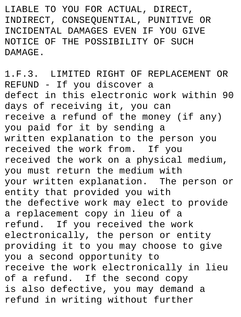LIABLE TO YOU FOR ACTUAL, DIRECT, INDIRECT, CONSEQUENTIAL, PUNITIVE OR INCIDENTAL DAMAGES EVEN IF YOU GIVE NOTICE OF THE POSSIBILITY OF SUCH DAMAGE.

1.F.3. LIMITED RIGHT OF REPLACEMENT OR REFUND - If you discover a defect in this electronic work within 90 days of receiving it, you can receive a refund of the money (if any) you paid for it by sending a written explanation to the person you received the work from. If you received the work on a physical medium, you must return the medium with your written explanation. The person or entity that provided you with the defective work may elect to provide a replacement copy in lieu of a refund. If you received the work electronically, the person or entity providing it to you may choose to give you a second opportunity to receive the work electronically in lieu of a refund. If the second copy is also defective, you may demand a refund in writing without further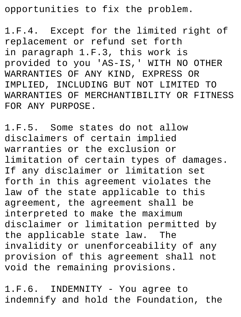opportunities to fix the problem.

1.F.4. Except for the limited right of replacement or refund set forth in paragraph 1.F.3, this work is provided to you 'AS-IS,' WITH NO OTHER WARRANTIES OF ANY KIND, EXPRESS OR IMPLIED, INCLUDING BUT NOT LIMITED TO WARRANTIES OF MERCHANTIBILITY OR FITNESS FOR ANY PURPOSE.

1.F.5. Some states do not allow disclaimers of certain implied warranties or the exclusion or limitation of certain types of damages. If any disclaimer or limitation set forth in this agreement violates the law of the state applicable to this agreement, the agreement shall be interpreted to make the maximum disclaimer or limitation permitted by the applicable state law. The invalidity or unenforceability of any provision of this agreement shall not void the remaining provisions.

1.F.6. INDEMNITY - You agree to indemnify and hold the Foundation, the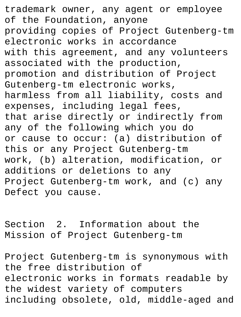trademark owner, any agent or employee of the Foundation, anyone providing copies of Project Gutenberg-tm electronic works in accordance with this agreement, and any volunteers associated with the production, promotion and distribution of Project Gutenberg-tm electronic works, harmless from all liability, costs and expenses, including legal fees, that arise directly or indirectly from any of the following which you do or cause to occur: (a) distribution of this or any Project Gutenberg-tm work, (b) alteration, modification, or additions or deletions to any Project Gutenberg-tm work, and (c) any Defect you cause.

Section 2. Information about the Mission of Project Gutenberg-tm

Project Gutenberg-tm is synonymous with the free distribution of electronic works in formats readable by the widest variety of computers including obsolete, old, middle-aged and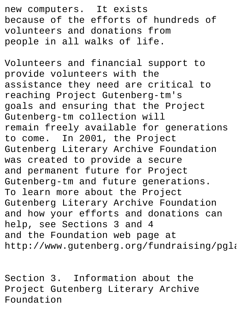new computers. It exists because of the efforts of hundreds of volunteers and donations from people in all walks of life.

Volunteers and financial support to provide volunteers with the assistance they need are critical to reaching Project Gutenberg-tm's goals and ensuring that the Project Gutenberg-tm collection will remain freely available for generations to come. In 2001, the Project Gutenberg Literary Archive Foundation was created to provide a secure and permanent future for Project Gutenberg-tm and future generations. To learn more about the Project Gutenberg Literary Archive Foundation and how your efforts and donations can help, see Sections 3 and 4 and the Foundation web page at http://www.gutenberg.org/fundraising/pgla

Section 3. Information about the Project Gutenberg Literary Archive Foundation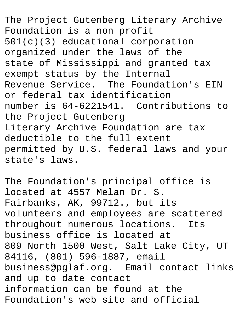The Project Gutenberg Literary Archive Foundation is a non profit 501(c)(3) educational corporation organized under the laws of the state of Mississippi and granted tax exempt status by the Internal Revenue Service. The Foundation's EIN or federal tax identification number is 64-6221541. Contributions to the Project Gutenberg Literary Archive Foundation are tax deductible to the full extent permitted by U.S. federal laws and your state's laws.

The Foundation's principal office is located at 4557 Melan Dr. S. Fairbanks, AK, 99712., but its volunteers and employees are scattered throughout numerous locations. Its business office is located at 809 North 1500 West, Salt Lake City, UT 84116, (801) 596-1887, email business@pglaf.org. Email contact links and up to date contact information can be found at the Foundation's web site and official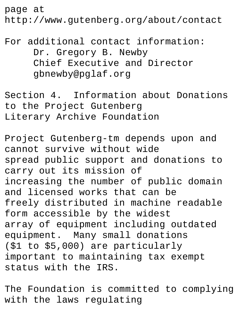page at

http://www.gutenberg.org/about/contact

For additional contact information: Dr. Gregory B. Newby Chief Executive and Director gbnewby@pglaf.org

Section 4. Information about Donations to the Project Gutenberg Literary Archive Foundation

Project Gutenberg-tm depends upon and cannot survive without wide spread public support and donations to carry out its mission of increasing the number of public domain and licensed works that can be freely distributed in machine readable form accessible by the widest array of equipment including outdated equipment. Many small donations (\$1 to \$5,000) are particularly important to maintaining tax exempt status with the IRS.

The Foundation is committed to complying with the laws regulating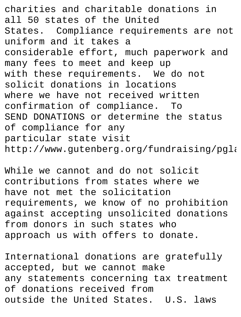charities and charitable donations in all 50 states of the United States. Compliance requirements are not uniform and it takes a considerable effort, much paperwork and many fees to meet and keep up with these requirements. We do not solicit donations in locations where we have not received written confirmation of compliance. To SEND DONATIONS or determine the status of compliance for any particular state visit http://www.gutenberg.org/fundraising/pgla

While we cannot and do not solicit contributions from states where we have not met the solicitation requirements, we know of no prohibition against accepting unsolicited donations from donors in such states who approach us with offers to donate.

International donations are gratefully accepted, but we cannot make any statements concerning tax treatment of donations received from outside the United States. U.S. laws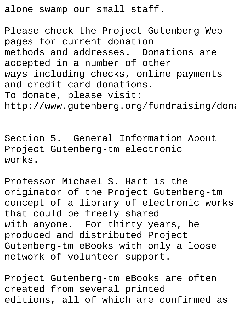alone swamp our small staff.

Please check the Project Gutenberg Web pages for current donation methods and addresses. Donations are accepted in a number of other ways including checks, online payments and credit card donations. To donate, please visit: http://www.gutenberg.org/fundraising/dona

Section 5. General Information About Project Gutenberg-tm electronic works.

Professor Michael S. Hart is the originator of the Project Gutenberg-tm concept of a library of electronic works that could be freely shared with anyone. For thirty years, he produced and distributed Project Gutenberg-tm eBooks with only a loose network of volunteer support.

Project Gutenberg-tm eBooks are often created from several printed editions, all of which are confirmed as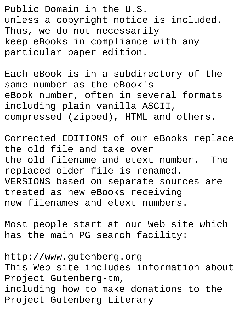Public Domain in the U.S. unless a copyright notice is included. Thus, we do not necessarily keep eBooks in compliance with any particular paper edition.

Each eBook is in a subdirectory of the same number as the eBook's eBook number, often in several formats including plain vanilla ASCII, compressed (zipped), HTML and others.

Corrected EDITIONS of our eBooks replace the old file and take over the old filename and etext number. The replaced older file is renamed. VERSIONS based on separate sources are treated as new eBooks receiving new filenames and etext numbers.

Most people start at our Web site which has the main PG search facility:

http://www.gutenberg.org This Web site includes information about Project Gutenberg-tm, including how to make donations to the Project Gutenberg Literary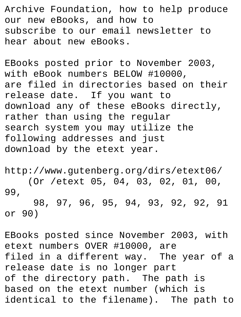Archive Foundation, how to help produce our new eBooks, and how to subscribe to our email newsletter to hear about new eBooks.

EBooks posted prior to November 2003, with eBook numbers BELOW #10000, are filed in directories based on their release date. If you want to download any of these eBooks directly, rather than using the regular search system you may utilize the following addresses and just download by the etext year.

http://www.gutenberg.org/dirs/etext06/ (Or /etext 05, 04, 03, 02, 01, 00, 99, 98, 97, 96, 95, 94, 93, 92, 92, 91 or 90)

EBooks posted since November 2003, with etext numbers OVER #10000, are filed in a different way. The year of a release date is no longer part of the directory path. The path is based on the etext number (which is identical to the filename). The path to